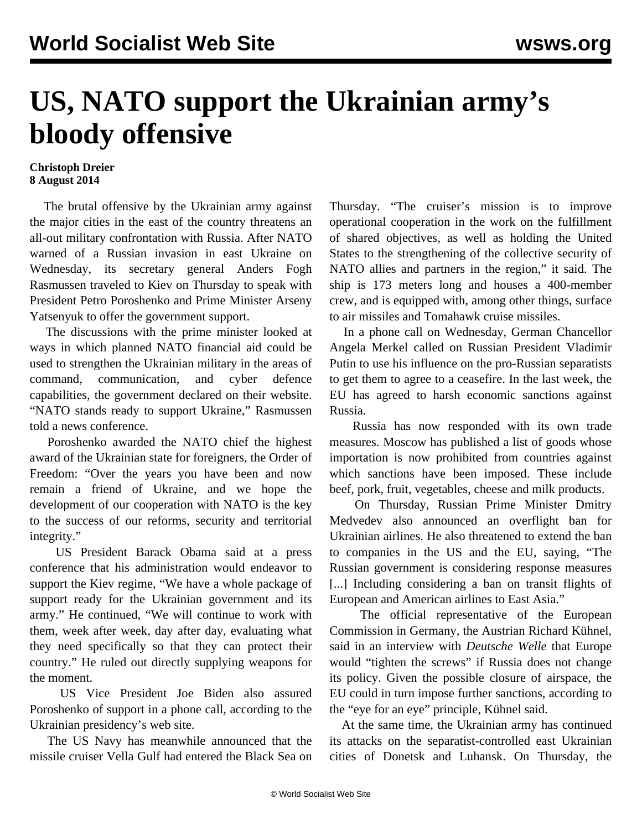## **US, NATO support the Ukrainian army's bloody offensive**

## **Christoph Dreier 8 August 2014**

 The brutal offensive by the Ukrainian army against the major cities in the east of the country threatens an all-out military confrontation with Russia. After NATO warned of a Russian invasion in east Ukraine on Wednesday, its secretary general Anders Fogh Rasmussen traveled to Kiev on Thursday to speak with President Petro Poroshenko and Prime Minister Arseny Yatsenyuk to offer the government support.

 The discussions with the prime minister looked at ways in which planned NATO financial aid could be used to strengthen the Ukrainian military in the areas of command, communication, and cyber defence capabilities, the government declared on their website. "NATO stands ready to support Ukraine," Rasmussen told a news conference.

 Poroshenko awarded the NATO chief the highest award of the Ukrainian state for foreigners, the Order of Freedom: "Over the years you have been and now remain a friend of Ukraine, and we hope the development of our cooperation with NATO is the key to the success of our reforms, security and territorial integrity."

 US President Barack Obama said at a press conference that his administration would endeavor to support the Kiev regime, "We have a whole package of support ready for the Ukrainian government and its army." He continued, "We will continue to work with them, week after week, day after day, evaluating what they need specifically so that they can protect their country." He ruled out directly supplying weapons for the moment.

 US Vice President Joe Biden also assured Poroshenko of support in a phone call, according to the Ukrainian presidency's web site.

 The US Navy has meanwhile announced that the missile cruiser Vella Gulf had entered the Black Sea on Thursday. "The cruiser's mission is to improve operational cooperation in the work on the fulfillment of shared objectives, as well as holding the United States to the strengthening of the collective security of NATO allies and partners in the region," it said. The ship is 173 meters long and houses a 400-member crew, and is equipped with, among other things, surface to air missiles and Tomahawk cruise missiles.

 In a phone call on Wednesday, German Chancellor Angela Merkel called on Russian President Vladimir Putin to use his influence on the pro-Russian separatists to get them to agree to a ceasefire. In the last week, the EU has agreed to harsh economic sanctions against Russia.

 Russia has now responded with its own trade measures. Moscow has published a list of goods whose importation is now prohibited from countries against which sanctions have been imposed. These include beef, pork, fruit, vegetables, cheese and milk products.

 On Thursday, Russian Prime Minister Dmitry Medvedev also announced an overflight ban for Ukrainian airlines. He also threatened to extend the ban to companies in the US and the EU, saying, "The Russian government is considering response measures [...] Including considering a ban on transit flights of European and American airlines to East Asia."

 The official representative of the European Commission in Germany, the Austrian Richard Kühnel, said in an interview with *Deutsche Welle* that Europe would "tighten the screws" if Russia does not change its policy. Given the possible closure of airspace, the EU could in turn impose further sanctions, according to the "eye for an eye" principle, Kühnel said.

 At the same time, the Ukrainian army has continued its attacks on the separatist-controlled east Ukrainian cities of Donetsk and Luhansk. On Thursday, the